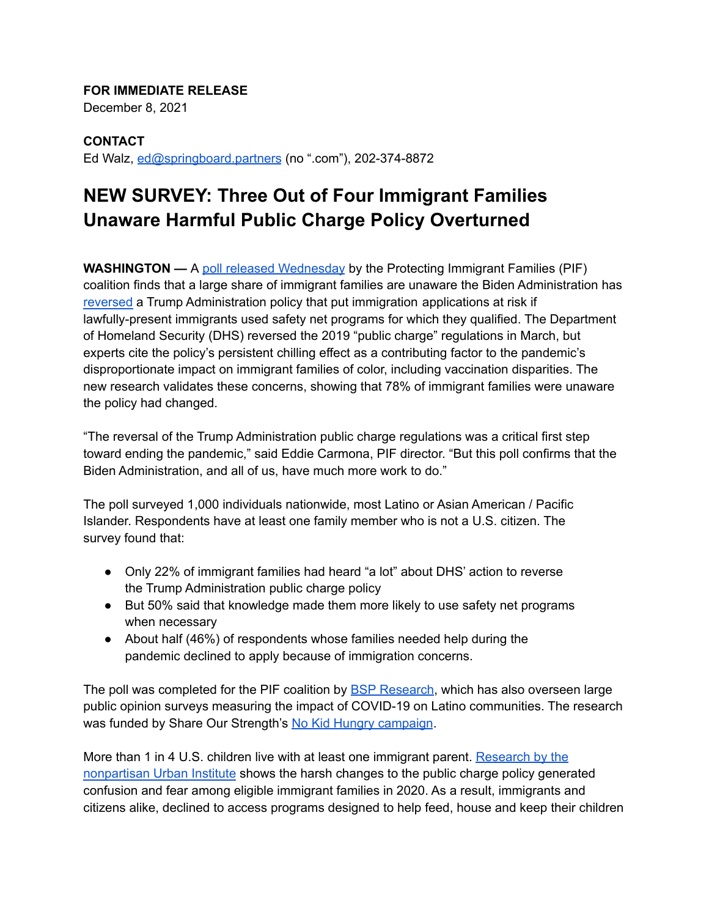## **FOR IMMEDIATE RELEASE**

December 8, 2021

**CONTACT** Ed Walz, [ed@springboard.partners](mailto:ed@springboard.partners) (no ".com"), 202-374-8872

## **NEW SURVEY: Three Out of Four Immigrant Families Unaware Harmful Public Charge Policy Overturned**

**WASHINGTON —** A poll released [Wednesday](https://protectingimmigrantfamilies.org/wp-content/uploads/2021/12/PIF-Poll-Toplines-Memo-FINAL-1.pdf) by the Protecting Immigrant Families (PIF) coalition finds that a large share of immigrant families are unaware the Biden Administration has [reversed](https://www.uscis.gov/sites/default/files/document/notices/SOPDD-Letter-to-USCIS-Interagency-Partners-on-Public-Charge.pdf) a Trump Administration policy that put immigration applications at risk if lawfully-present immigrants used safety net programs for which they qualified. The Department of Homeland Security (DHS) reversed the 2019 "public charge" regulations in March, but experts cite the policy's persistent chilling effect as a contributing factor to the pandemic's disproportionate impact on immigrant families of color, including vaccination disparities. The new research validates these concerns, showing that 78% of immigrant families were unaware the policy had changed.

"The reversal of the Trump Administration public charge regulations was a critical first step toward ending the pandemic," said Eddie Carmona, PIF director. "But this poll confirms that the Biden Administration, and all of us, have much more work to do."

The poll surveyed 1,000 individuals nationwide, most Latino or Asian American / Pacific Islander. Respondents have at least one family member who is not a U.S. citizen. The survey found that:

- Only 22% of immigrant families had heard "a lot" about DHS' action to reverse the Trump Administration public charge policy
- But 50% said that knowledge made them more likely to use safety net programs when necessary
- About half (46%) of respondents whose families needed help during the pandemic declined to apply because of immigration concerns.

The poll was completed for the PIF coalition by BSP [Research](https://bspresearch.com/), which has also overseen large public opinion surveys measuring the impact of COVID-19 on Latino communities. The research was funded by Share Our Strength's No Kid Hungry [campaign](https://www.nokidhungry.org/).

More than 1 in 4 U.S. children live with at least one immigrant parent. [Research](https://www.urban.org/research/publication/many-immigrant-families-children-continued-avoid-public-benefits-2020-despite-facing-hardships) by the [nonpartisan](https://www.urban.org/research/publication/many-immigrant-families-children-continued-avoid-public-benefits-2020-despite-facing-hardships) Urban Institute shows the harsh changes to the public charge policy generated confusion and fear among eligible immigrant families in 2020. As a result, immigrants and citizens alike, declined to access programs designed to help feed, house and keep their children